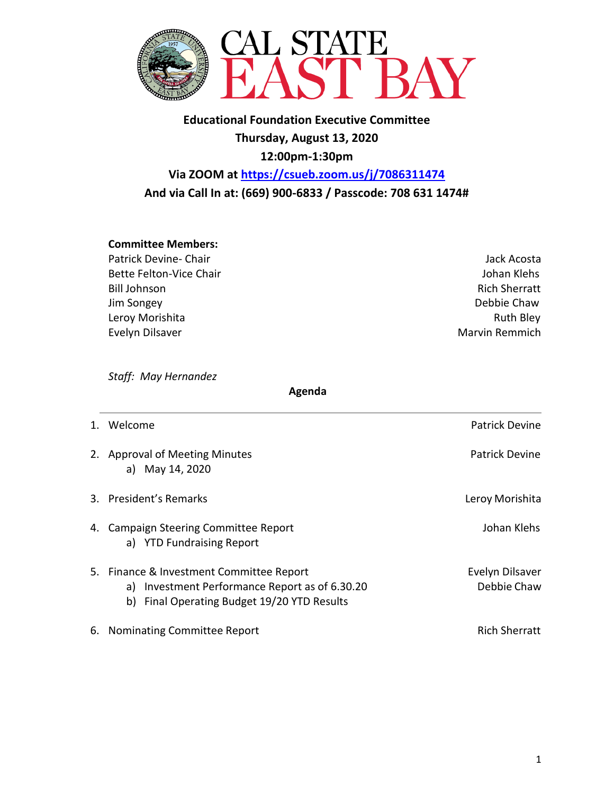

**Educational Foundation Executive Committee Thursday, August 13, 2020 12:00pm-1:30pm**

**Via ZOOM at<https://csueb.zoom.us/j/7086311474> And via Call In at: (669) 900-6833 / Passcode: 708 631 1474#**

## **Committee Members:**

- Patrick Devine- Chair **Jack Acosta Jack Acosta Jack Acosta Jack Acosta** Bette Felton-Vice Chair **Johan Klehs** Johan Klehs Bill Johnson Rich Sherratt Jim Songey Debbie Chaw Leroy Morishita **Ruth Bley** Evelyn Dilsaver **Marvin Remmich**
- 

*Staff: May Hernandez* 

 **Agenda**

1. Welcome **Patrick Device** Patrick Device **Patrick Device** Patrick Device 2. Approval of Meeting Minutes **Patrick Devine** Patrick Devine a) May 14, 2020 3. President's Remarks **Letter Communist Communist Communist Communist Communist Communist Communist Communist Communist Communist Communist Communist Communist Communist Communist Communist Communist Communist Communist C** 4. Campaign Steering Committee Report **Community** Johan Klehs a) YTD Fundraising Report 5. Finance & Investment Committee Report Evelyn Dilsaver a) Investment Performance Report as of 6.30.20 Debbie Chaw b) Final Operating Budget 19/20 YTD Results 6. Nominating Committee Report **Rich Sherratt**